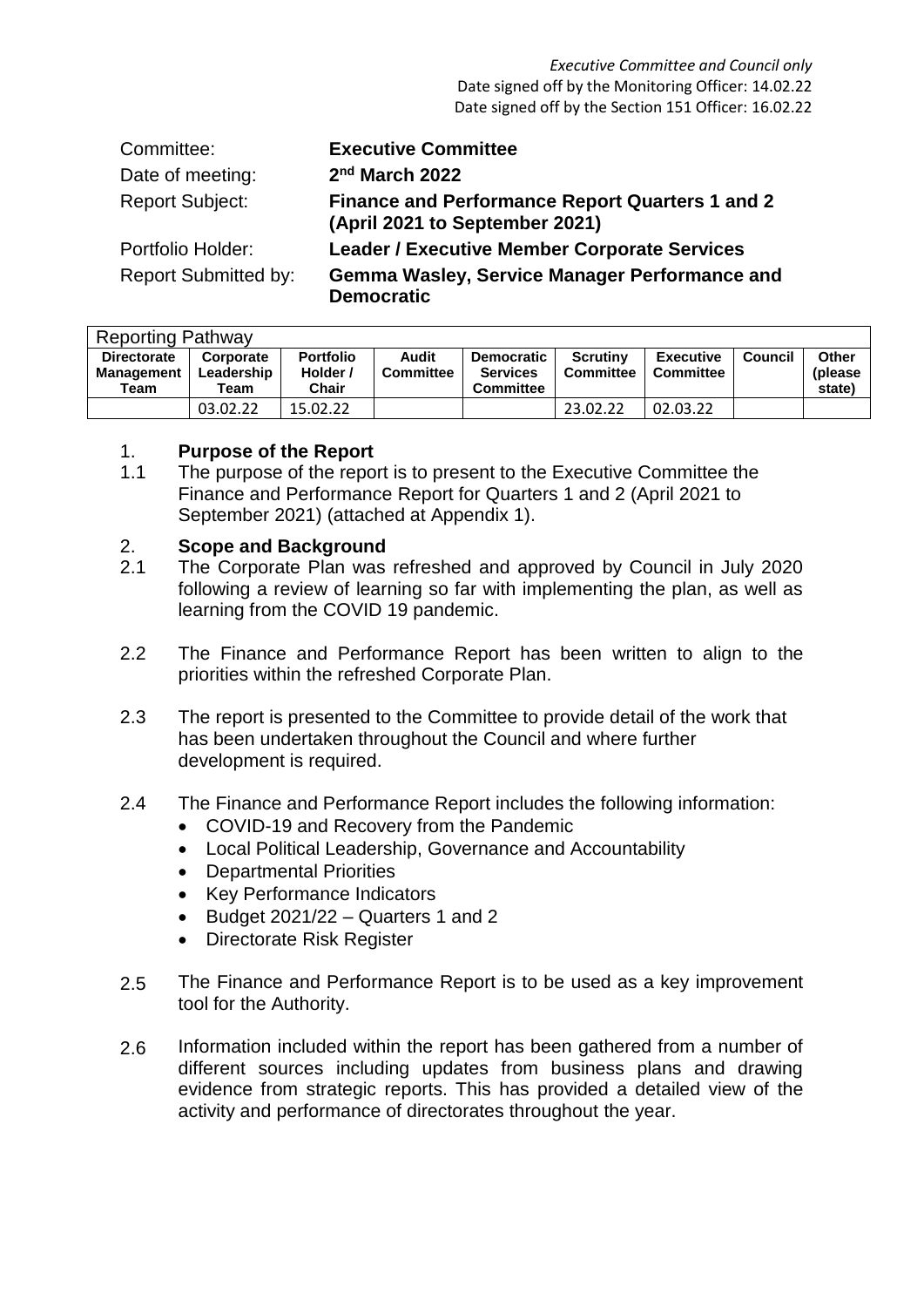| Committee:                  | <b>Executive Committee</b>                                                               |
|-----------------------------|------------------------------------------------------------------------------------------|
| Date of meeting:            | 2 <sup>nd</sup> March 2022                                                               |
| <b>Report Subject:</b>      | <b>Finance and Performance Report Quarters 1 and 2</b><br>(April 2021 to September 2021) |
| Portfolio Holder:           | <b>Leader / Executive Member Corporate Services</b>                                      |
| <b>Report Submitted by:</b> | Gemma Wasley, Service Manager Performance and<br><b>Democratic</b>                       |

| <b>Reporting Pathway</b> |            |                  |                  |                   |                  |                  |         |          |  |  |
|--------------------------|------------|------------------|------------------|-------------------|------------------|------------------|---------|----------|--|--|
| <b>Directorate</b>       | Corporate  | <b>Portfolio</b> | Audit            | <b>Democratic</b> | <b>Scrutiny</b>  | <b>Executive</b> | Council | Other    |  |  |
| Management               | Leadership | Holder /         | <b>Committee</b> | <b>Services</b>   | <b>Committee</b> | Committee        |         | (please) |  |  |
| Team                     | Team       | Chair            |                  | <b>Committee</b>  |                  |                  |         | state)   |  |  |
|                          | 03.02.22   | 15.02.22         |                  |                   | 23.02.22         | 02.03.22         |         |          |  |  |

#### 1. **Purpose of the Report**

1.1 The purpose of the report is to present to the Executive Committee the Finance and Performance Report for Quarters 1 and 2 (April 2021 to September 2021) (attached at Appendix 1).

#### 2. **Scope and Background**

- 2.1 The Corporate Plan was refreshed and approved by Council in July 2020 following a review of learning so far with implementing the plan, as well as learning from the COVID 19 pandemic.
- 2.2 The Finance and Performance Report has been written to align to the priorities within the refreshed Corporate Plan.
- 2.3 The report is presented to the Committee to provide detail of the work that has been undertaken throughout the Council and where further development is required.
- 2.4 The Finance and Performance Report includes the following information:
	- COVID-19 and Recovery from the Pandemic
	- Local Political Leadership, Governance and Accountability
	- Departmental Priorities
	- Key Performance Indicators
	- $\bullet$  Budget 2021/22 Quarters 1 and 2
	- Directorate Risk Register
- 2.5 The Finance and Performance Report is to be used as a key improvement tool for the Authority.
- 2.6 Information included within the report has been gathered from a number of different sources including updates from business plans and drawing evidence from strategic reports. This has provided a detailed view of the activity and performance of directorates throughout the year.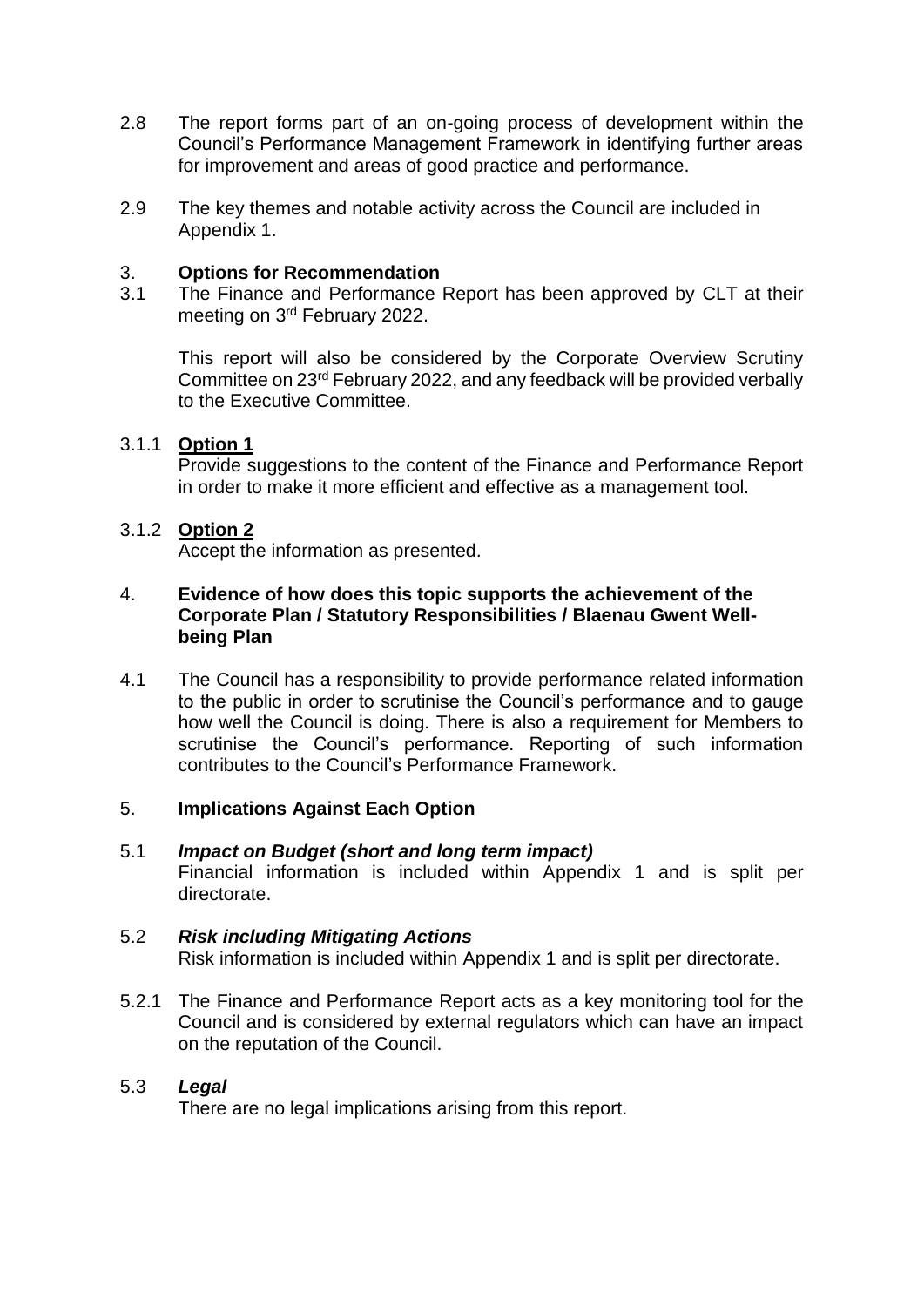- 2.8 The report forms part of an on-going process of development within the Council's Performance Management Framework in identifying further areas for improvement and areas of good practice and performance.
- 2.9 The key themes and notable activity across the Council are included in Appendix 1.

#### 3. **Options for Recommendation**

3.1 The Finance and Performance Report has been approved by CLT at their meeting on 3<sup>rd</sup> February 2022.

This report will also be considered by the Corporate Overview Scrutiny Committee on 23rd February 2022, and any feedback will be provided verbally to the Executive Committee.

# 3.1.1 **Option 1**

Provide suggestions to the content of the Finance and Performance Report in order to make it more efficient and effective as a management tool.

#### 3.1.2 **Option 2**

Accept the information as presented.

#### 4. **Evidence of how does this topic supports the achievement of the Corporate Plan / Statutory Responsibilities / Blaenau Gwent Wellbeing Plan**

4.1 The Council has a responsibility to provide performance related information to the public in order to scrutinise the Council's performance and to gauge how well the Council is doing. There is also a requirement for Members to scrutinise the Council's performance. Reporting of such information contributes to the Council's Performance Framework.

# 5. **Implications Against Each Option**

5.1 *Impact on Budget (short and long term impact)* Financial information is included within Appendix 1 and is split per directorate.

#### 5.2 *Risk including Mitigating Actions*

Risk information is included within Appendix 1 and is split per directorate.

5.2.1 The Finance and Performance Report acts as a key monitoring tool for the Council and is considered by external regulators which can have an impact on the reputation of the Council.

# 5.3 *Legal*

There are no legal implications arising from this report.